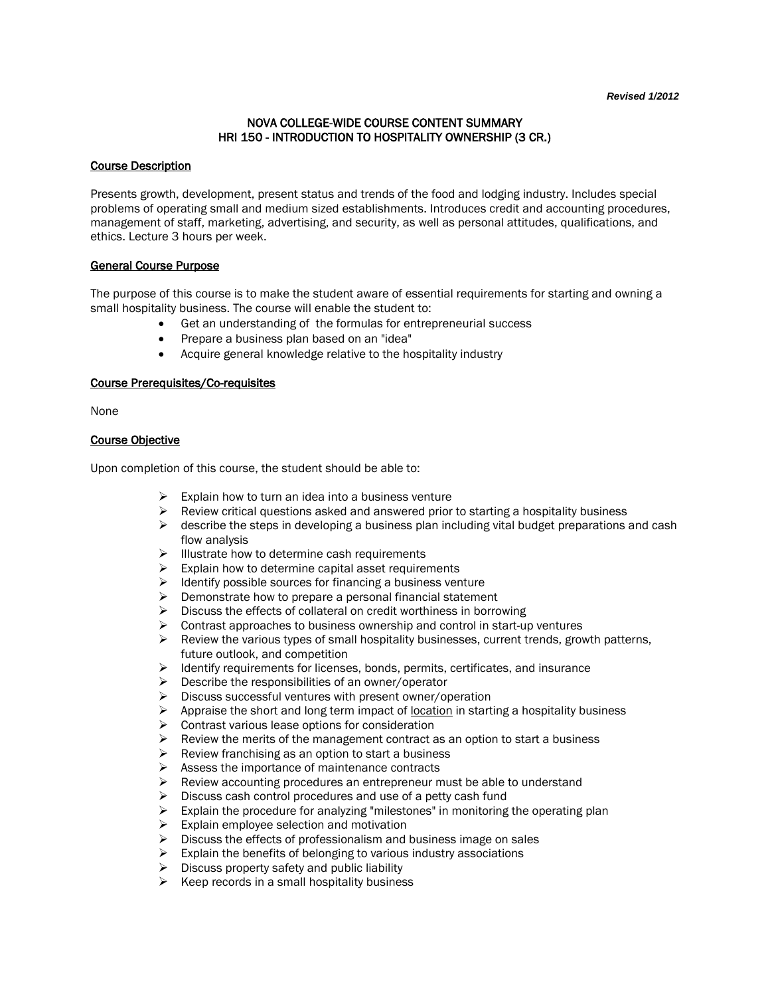## NOVA COLLEGE-WIDE COURSE CONTENT SUMMARY HRI 150 - INTRODUCTION TO HOSPITALITY OWNERSHIP (3 CR.)

### Course Description

Presents growth, development, present status and trends of the food and lodging industry. Includes special problems of operating small and medium sized establishments. Introduces credit and accounting procedures, management of staff, marketing, advertising, and security, as well as personal attitudes, qualifications, and ethics. Lecture 3 hours per week.

#### General Course Purpose

The purpose of this course is to make the student aware of essential requirements for starting and owning a small hospitality business. The course will enable the student to:

- Get an understanding of the formulas for entrepreneurial success
- Prepare a business plan based on an "idea"
- Acquire general knowledge relative to the hospitality industry

## Course Prerequisites/Co-requisites

None

#### Course Objective

Upon completion of this course, the student should be able to:

- Explain how to turn an idea into a business venture<br>
Explain how to turn an idea into a business venture into the Review critical questions asked and answered prior
- Review critical questions asked and answered prior to starting a hospitality business
- $\triangleright$  describe the steps in developing a business plan including vital budget preparations and cash flow analysis
- $\triangleright$  Illustrate how to determine cash requirements
- $\triangleright$  Explain how to determine capital asset requirements
- $\triangleright$  Identify possible sources for financing a business venture
- $\triangleright$  Demonstrate how to prepare a personal financial statement
- $\triangleright$  Discuss the effects of collateral on credit worthiness in borrowing
- $\triangleright$  Contrast approaches to business ownership and control in start-up ventures
- $\triangleright$  Review the various types of small hospitality businesses, current trends, growth patterns, future outlook, and competition
- $\triangleright$  Identify requirements for licenses, bonds, permits, certificates, and insurance
- $\triangleright$  Describe the responsibilities of an owner/operator
- $\triangleright$  Discuss successful ventures with present owner/operation
- Appraise the short and long term impact of <u>location</u> in starting a hospitality business <br>  $\triangleright$  Contrast various lease options for consideration
- $\triangleright$  Contrast various lease options for consideration<br> $\triangleright$  Review the merits of the management contract a
- Review the merits of the management contract as an option to start a business
- $\triangleright$  Review franchising as an option to start a business
- $\triangleright$  Assess the importance of maintenance contracts
- $\triangleright$  Review accounting procedures an entrepreneur must be able to understand
- $\triangleright$  Discuss cash control procedures and use of a petty cash fund
- Explain the procedure for analyzing "milestones" in monitoring the operating plan<br>
Explain emplovee selection and motivation
- Explain employee selection and motivation
- $\triangleright$  Discuss the effects of professionalism and business image on sales
- $\triangleright$  Explain the benefits of belonging to various industry associations
- $\triangleright$  Discuss property safety and public liability
- $\triangleright$  Keep records in a small hospitality business